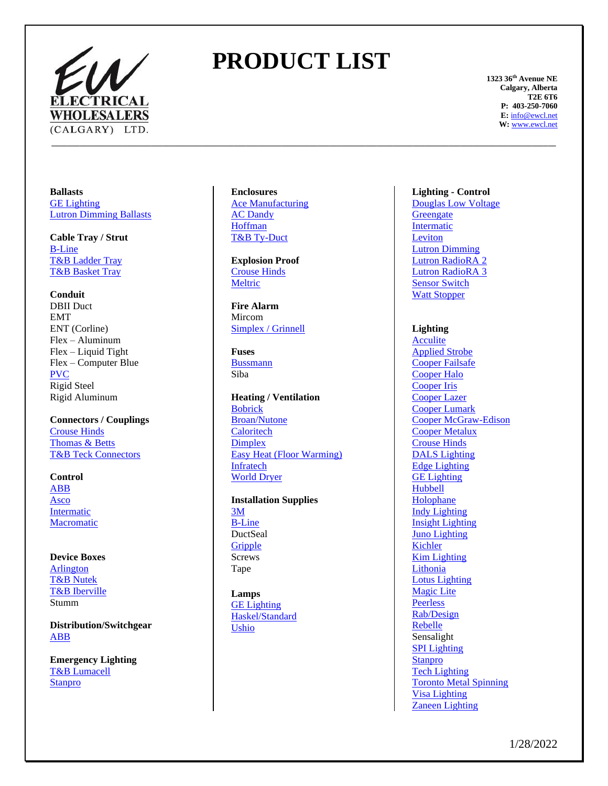

# **PRODUCT LIST**

**\_\_\_\_\_\_\_\_\_\_\_\_\_\_\_\_\_\_\_\_\_\_\_\_\_\_\_\_\_\_\_\_\_\_\_\_\_\_\_\_\_\_\_\_\_\_\_\_\_\_\_\_\_\_\_\_\_\_\_\_\_\_\_\_\_\_\_\_\_\_\_\_\_\_\_\_\_\_\_\_\_\_\_\_\_\_\_\_\_\_\_\_\_\_\_\_\_\_\_\_\_\_\_\_\_\_\_\_\_\_\_\_\_\_\_\_\_\_\_\_\_\_\_\_\_\_\_**

**1323 36th Avenue NE Calgary, Alberta T2E 6T6 P: 403-250-7060 E:** [info@ewcl.net](mailto:info@ewcl.net) **W:** [www.ewcl.net](http://www.ewcl.net/)

**Ballasts** [GE Lighting](https://www.gecurrent.com/) [Lutron Dimming Ballasts](http://www.lutron.com/)

**Cable Tray / Strut** [B-Line](http://www.b-line.com/) [T&B Ladder Tray](http://www.tnb.ca/en/brands/tnb-cable-tray-cable-tray-systems/) [T&B Basket Tray](http://www.tnb.ca/en/brands/tnb-cable-tray-wire-management-systems/)

**Conduit** DBII Duct EMT ENT (Corline) Flex – Aluminum Flex – Liquid Tight Flex – Computer Blue [PVC](http://www.ipexinc.com/) Rigid Steel Rigid Aluminum

**Connectors / Couplings** [Crouse Hinds](https://www.eaton.com/us/en-us/support/poweredge-support/crouse-Hinds-series-product-line-location-quick-reference.html) [Thomas & Betts](http://www.tnb-canada.com/) [T&B Teck Connectors](http://www.tnb-canada.com/)

**Control** [ABB](http://www.abb.ca/) [Asco](http://www.asco.com/) [Intermatic](http://www.intermatic.com/) **[Macromatic](https://www.macromatic.com/)** 

**Device Boxes** [Arlington](http://www.aifittings.com/) [T&B Nutek](http://www.tnb-canada.com/) [T&B Iberville](http://www.tnb-canada.com/) Stumm

**Distribution/Switchgear** [ABB](https://electrification.us.abb.com/products)

**Emergency Lighting** [T&B Lumacell](http://www.lumacell.com/) **[Stanpro](https://www.standardpro.com/)** 

### **Enclosures** [Ace Manufacturing](http://www.acemfg.com/) [AC Dandy](https://www.acdandy.com/) [Hoffman](http://www.hoffmanonline.com/) [T&B Ty-Duct](http://www.tnb-canada.com/)

**Explosion Proof** [Crouse Hinds](https://www.eaton.com/us/en-us/support/poweredge-support/crouse-Hinds-series-product-line-location-quick-reference.html) **[Meltric](http://www.meltric.com/)** 

**Fire Alarm** Mircom [Simplex / Grinnell](http://www.simplexgrinnell.com/)

**Fuses** [Bussmann](https://www.eaton.com/us/en-us/products/electrical-circuit-protection/fuses-and-fuse-holders.html) Siba

**Heating / Ventilation** [Bobrick](http://www.bobrick.com/) [Broan/Nutone](http://www.broan.ca/) **[Caloritech](http://www.caloritech.com/) [Dimplex](http://www.dimplex.com/)** [Easy Heat \(Floor Warming\)](http://www.easyheat.com/) **[Infratech](https://www.infratech-usa.com/)** [World Dryer](http://www.worlddryer.com/)

**Installation Supplies**

[3M](http://www.3m.ca/electrical) [B-Line](http://www.b-line.com/) DuctSeal **[Gripple](https://www.gripple.com/en-ca/) Screws** Tape

**Lamps** [GE Lighting](https://www.gecurrent.com/) [Haskel/Standard](http://www.standardpro.com/) [Ushio](http://www.ushio.com/)

## **Lighting - Control**

[Douglas Low Voltage](http://www.douglaslightingcontrol.com/) **[Greengate](https://www.cooperlighting.com/global/brands/greengate)** [Intermatic](http://www.intermatic.com/) [Leviton](http://www.leviton.com/) [Lutron Dimming](http://www.lutron.com/) [Lutron RadioRA](https://www.lutron.com/en-US/Products/Pages/WholeHomeSystems/RadioRA2/Overview.aspx) 2 Lutron [RadioRA](https://radiora3.lutron.com/us/en/) 3 [Sensor Switch](http://www.sensorswitch.com/) [Watt Stopper](http://www.wattstopper.com/)

**Lighting** 

**[Acculite](http://www.acculiteltg.com/)** [Applied Strobe](http://www.appliedstrobe.com/) [Cooper Failsafe](http://www.cooperlighting.com/) [Cooper Halo](http://www.cooperlighting.com/) [Cooper Iris](http://www.cooperlighting.com/) [Cooper Lazer](http://www.cooperlighting.com/) [Cooper Lumark](http://www.cooperlighting.com/) [Cooper McGraw-Edison](http://www.cooperlighting.com/) [Cooper Metalux](http://www.cooperlighting.com/) [Crouse Hinds](https://www.eaton.com/us/en-us/support/poweredge-support/crouse-Hinds-series-product-line-location-quick-reference.html) [DALS Lighting](https://dals.com/) [Edge Lighting](https://www.pureedgelighting.com/) [GE Lighting](https://www.gecurrent.com/) [Hubbell](http://www.hubbell.com/) [Holophane](http://www.holophane.com/) [Indy Lighting](http://www.indylighting.com/) [Insight Lighting](http://www.insightlighting.com/) [Juno Lighting](https://juno.acuitybrands.com/) [Kichler](http://www.kichler.com/) [Kim Lighting](http://www.kimlighting.com/) [Lithonia](http://www.lithonia.com/) [Lotus Lighting](https://www.lotusledlights.com/) [Magic Lite](http://www.magiclite.com/) [Peerless](http://www.peerless-electric.com/) [Rab/Design](http://www.rabdesign.ca/) [Rebelle](http://www.rebellelighting.com/) Sensalight [SPI Lighting](http://www.spilighting.com/) [Stanpro](https://www.standardpro.com/) [Tech Lighting](http://www.techlighting.com/) [Toronto Metal Spinning](http://www.tmslighting.com/) [Visa Lighting](http://www.visalighting.com/) [Zaneen Lighting](http://www.zaneen.com/)